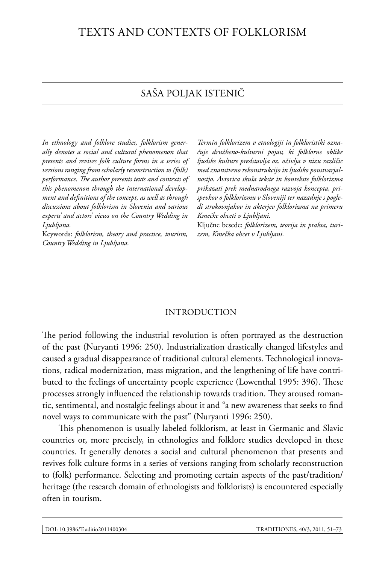# Texts and Contexts of Folklorism

# Saša Poljak Istenič

*In ethnology and folklore studies, folklorism generally denotes a social and cultural phenomenon that presents and revives folk culture forms in a series of versions ranging from scholarly reconstruction to (folk) performance. The author presents texts and contexts of this phenomenon through the international development and definitions of the concept, as well as through discussions about folklorism in Slovenia and various experts' and actors' views on the Country Wedding in Ljubljana.*

Keywords: *folklorism, theory and practice, tourism, Country Wedding in Ljubljana.*

*Termin folklorizem v etnologiji in folkloristiki označuje družbeno-kulturni pojav, ki folklorne oblike ljudske kulture predstavlja oz. oživlja v nizu različic med znanstveno rekonstrukcijo in ljudsko poustvarjalnostjo. Avtorica skuša tekste in kontekste folklorizma prikazati prek mednarodnega razvoja koncepta, prispevkov o folklorizmu v Sloveniji ter nazadnje s pogledi strokovnjakov in akterjev folklorizma na primeru Kmečke ohceti v Ljubljani.*

Ključne besede: *folklorizem, teorija in praksa, turizem, Kmečka ohcet v Ljubljani.*

### INTRODUCTION

The period following the industrial revolution is often portrayed as the destruction of the past (Nuryanti 1996: 250). Industrialization drastically changed lifestyles and caused a gradual disappearance of traditional cultural elements. Technological innovations, radical modernization, mass migration, and the lengthening of life have contributed to the feelings of uncertainty people experience (Lowenthal 1995: 396). These processes strongly influenced the relationship towards tradition. They aroused romantic, sentimental, and nostalgic feelings about it and "a new awareness that seeks to find novel ways to communicate with the past" (Nuryanti 1996: 250).

This phenomenon is usually labeled folklorism, at least in Germanic and Slavic countries or, more precisely, in ethnologies and folklore studies developed in these countries. It generally denotes a social and cultural phenomenon that presents and revives folk culture forms in a series of versions ranging from scholarly reconstruction to (folk) performance. Selecting and promoting certain aspects of the past/tradition/ heritage (the research domain of ethnologists and folklorists) is encountered especially often in tourism.

51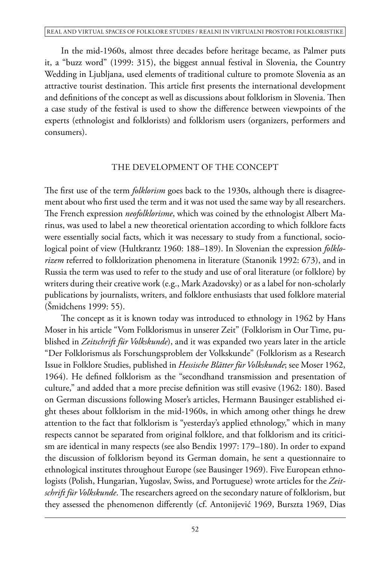In the mid-1960s, almost three decades before heritage became, as Palmer puts it, a "buzz word" (1999: 315), the biggest annual festival in Slovenia, the Country Wedding in Ljubljana, used elements of traditional culture to promote Slovenia as an attractive tourist destination. This article first presents the international development and definitions of the concept as well as discussions about folklorism in Slovenia. Then a case study of the festival is used to show the difference between viewpoints of the experts (ethnologist and folklorists) and folklorism users (organizers, performers and consumers).

# THE DEVELOPMENT OF THE CONCEPT

The first use of the term *folklorism* goes back to the 1930s, although there is disagreement about who first used the term and it was not used the same way by all researchers. The French expression *neofolklorisme*, which was coined by the ethnologist Albert Marinus, was used to label a new theoretical orientation according to which folklore facts were essentially social facts, which it was necessary to study from a functional, sociological point of view (Hultkrantz 1960: 188–189). In Slovenian the expression *folklorizem* referred to folklorization phenomena in literature (Stanonik 1992: 673), and in Russia the term was used to refer to the study and use of oral literature (or folklore) by writers during their creative work (e.g., Mark Azadovsky) or as a label for non-scholarly publications by journalists, writers, and folklore enthusiasts that used folklore material (Šmidchens 1999: 55).

The concept as it is known today was introduced to ethnology in 1962 by Hans Moser in his article "Vom Folklorismus in unserer Zeit" (Folklorism in Our Time, published in *Zeitschrift für Volkskunde*), and it was expanded two years later in the article "Der Folklorismus als Forschungsproblem der Volkskunde" (Folklorism as a Research Issue in Folklore Studies, published in *Hessische Blätter für Volkskunde*; see Moser 1962, 1964). He defined folklorism as the "secondhand transmission and presentation of culture," and added that a more precise definition was still evasive (1962: 180). Based on German discussions following Moser's articles, Hermann Bausinger established eight theses about folklorism in the mid-1960s, in which among other things he drew attention to the fact that folklorism is "yesterday's applied ethnology," which in many respects cannot be separated from original folklore, and that folklorism and its criticism are identical in many respects (see also Bendix 1997: 179–180). In order to expand the discussion of folklorism beyond its German domain, he sent a questionnaire to ethnological institutes throughout Europe (see Bausinger 1969). Five European ethnologists (Polish, Hungarian, Yugoslav, Swiss, and Portuguese) wrote articles for the *Zeitschrift für Volkskunde*. The researchers agreed on the secondary nature of folklorism, but they assessed the phenomenon differently (cf. Antonijević 1969, Burszta 1969, Dias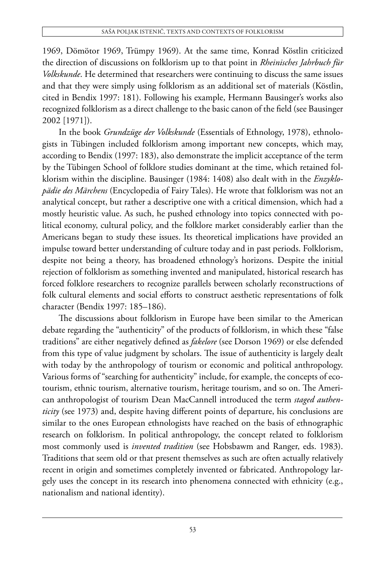1969, Dömötor 1969, Trümpy 1969). At the same time, Konrad Köstlin criticized the direction of discussions on folklorism up to that point in *Rheinisches Jahrbuch für Volkskunde*. He determined that researchers were continuing to discuss the same issues and that they were simply using folklorism as an additional set of materials (Köstlin, cited in Bendix 1997: 181). Following his example, Hermann Bausinger's works also recognized folklorism as a direct challenge to the basic canon of the field (see Bausinger 2002 [1971]).

In the book *Grundzüge der Volkskunde* (Essentials of Ethnology, 1978), ethnologists in Tübingen included folklorism among important new concepts, which may, according to Bendix (1997: 183), also demonstrate the implicit acceptance of the term by the Tübingen School of folklore studies dominant at the time, which retained folklorism within the discipline. Bausinger (1984: 1408) also dealt with in the *Enzyklopädie des Märchens* (Encyclopedia of Fairy Tales). He wrote that folklorism was not an analytical concept, but rather a descriptive one with a critical dimension, which had a mostly heuristic value. As such, he pushed ethnology into topics connected with political economy, cultural policy, and the folklore market considerably earlier than the Americans began to study these issues. Its theoretical implications have provided an impulse toward better understanding of culture today and in past periods. Folklorism, despite not being a theory, has broadened ethnology's horizons. Despite the initial rejection of folklorism as something invented and manipulated, historical research has forced folklore researchers to recognize parallels between scholarly reconstructions of folk cultural elements and social efforts to construct aesthetic representations of folk character (Bendix 1997: 185–186).

The discussions about folklorism in Europe have been similar to the American debate regarding the "authenticity" of the products of folklorism, in which these "false traditions" are either negatively defined as *fakelore* (see Dorson 1969) or else defended from this type of value judgment by scholars. The issue of authenticity is largely dealt with today by the anthropology of tourism or economic and political anthropology. Various forms of "searching for authenticity" include, for example, the concepts of ecotourism, ethnic tourism, alternative tourism, heritage tourism, and so on. The American anthropologist of tourism Dean MacCannell introduced the term *staged authenticity* (see 1973) and, despite having different points of departure, his conclusions are similar to the ones European ethnologists have reached on the basis of ethnographic research on folklorism. In political anthropology, the concept related to folklorism most commonly used is *invented tradition* (see Hobsbawm and Ranger, eds. 1983). Traditions that seem old or that present themselves as such are often actually relatively recent in origin and sometimes completely invented or fabricated. Anthropology largely uses the concept in its research into phenomena connected with ethnicity (e.g., nationalism and national identity).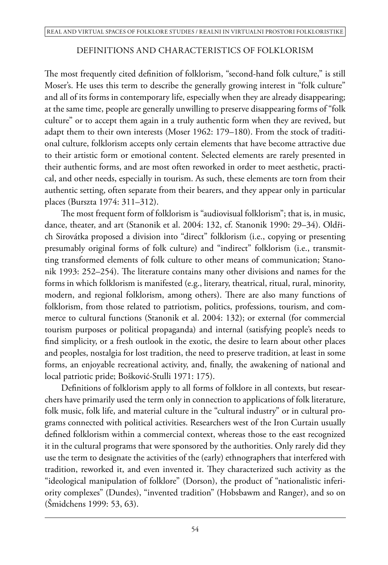# DEFINITIONS AND CHARACTERISTICS OF FOLKLORISM

The most frequently cited definition of folklorism, "second-hand folk culture," is still Moser's. He uses this term to describe the generally growing interest in "folk culture" and all of its forms in contemporary life, especially when they are already disappearing; at the same time, people are generally unwilling to preserve disappearing forms of "folk culture" or to accept them again in a truly authentic form when they are revived, but adapt them to their own interests (Moser 1962: 179–180). From the stock of traditional culture, folklorism accepts only certain elements that have become attractive due to their artistic form or emotional content. Selected elements are rarely presented in their authentic forms, and are most often reworked in order to meet aesthetic, practical, and other needs, especially in tourism. As such, these elements are torn from their authentic setting, often separate from their bearers, and they appear only in particular places (Burszta 1974: 311–312).

The most frequent form of folklorism is "audiovisual folklorism"; that is, in music, dance, theater, and art (Stanonik et al. 2004: 132, cf. Stanonik 1990: 29–34). Oldřich Sirovátka proposed a division into "direct" folklorism (i.e., copying or presenting presumably original forms of folk culture) and "indirect" folklorism (i.e., transmitting transformed elements of folk culture to other means of communication; Stanonik 1993: 252–254). The literature contains many other divisions and names for the forms in which folklorism is manifested (e.g., literary, theatrical, ritual, rural, minority, modern, and regional folklorism, among others). There are also many functions of folklorism, from those related to patriotism, politics, professions, tourism, and commerce to cultural functions (Stanonik et al. 2004: 132); or external (for commercial tourism purposes or political propaganda) and internal (satisfying people's needs to find simplicity, or a fresh outlook in the exotic, the desire to learn about other places and peoples, nostalgia for lost tradition, the need to preserve tradition, at least in some forms, an enjoyable recreational activity, and, finally, the awakening of national and local patriotic pride; Bošković-Stulli 1971: 175).

Definitions of folklorism apply to all forms of folklore in all contexts, but researchers have primarily used the term only in connection to applications of folk literature, folk music, folk life, and material culture in the "cultural industry" or in cultural programs connected with political activities. Researchers west of the Iron Curtain usually defined folklorism within a commercial context, whereas those to the east recognized it in the cultural programs that were sponsored by the authorities. Only rarely did they use the term to designate the activities of the (early) ethnographers that interfered with tradition, reworked it, and even invented it. They characterized such activity as the "ideological manipulation of folklore" (Dorson), the product of "nationalistic inferiority complexes" (Dundes), "invented tradition" (Hobsbawm and Ranger), and so on (Šmidchens 1999: 53, 63).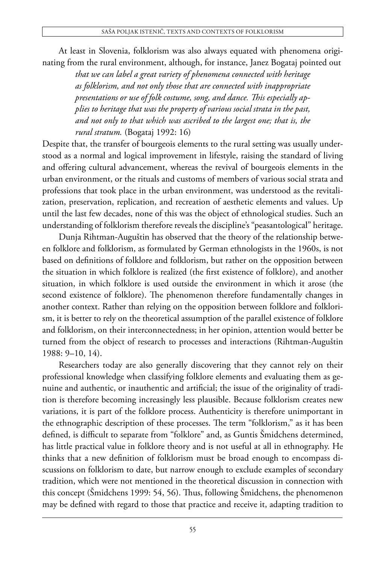At least in Slovenia, folklorism was also always equated with phenomena originating from the rural environment, although, for instance, Janez Bogataj pointed out

> *that we can label a great variety of phenomena connected with heritage as folklorism, and not only those that are connected with inappropriate presentations or use of folk costume, song, and dance. This especially applies to heritage that was the property of various social strata in the past, and not only to that which was ascribed to the largest one; that is, the rural stratum.* (Bogataj 1992: 16)

Despite that, the transfer of bourgeois elements to the rural setting was usually understood as a normal and logical improvement in lifestyle, raising the standard of living and offering cultural advancement, whereas the revival of bourgeois elements in the urban environment, or the rituals and customs of members of various social strata and professions that took place in the urban environment, was understood as the revitalization, preservation, replication, and recreation of aesthetic elements and values. Up until the last few decades, none of this was the object of ethnological studies. Such an understanding of folklorism therefore reveals the discipline's "peasantological" heritage.

Dunja Rihtman-Auguštin has observed that the theory of the relationship between folklore and folklorism, as formulated by German ethnologists in the 1960s, is not based on definitions of folklore and folklorism, but rather on the opposition between the situation in which folklore is realized (the first existence of folklore), and another situation, in which folklore is used outside the environment in which it arose (the second existence of folklore). The phenomenon therefore fundamentally changes in another context. Rather than relying on the opposition between folklore and folklorism, it is better to rely on the theoretical assumption of the parallel existence of folklore and folklorism, on their interconnectedness; in her opinion, attention would better be turned from the object of research to processes and interactions (Rihtman-Auguštin 1988: 9–10, 14).

Researchers today are also generally discovering that they cannot rely on their professional knowledge when classifying folklore elements and evaluating them as genuine and authentic, or inauthentic and artificial; the issue of the originality of tradition is therefore becoming increasingly less plausible. Because folklorism creates new variations, it is part of the folklore process. Authenticity is therefore unimportant in the ethnographic description of these processes. The term "folklorism," as it has been defined, is difficult to separate from "folklore" and, as Guntis Šmidchens determined, has little practical value in folklore theory and is not useful at all in ethnography. He thinks that a new definition of folklorism must be broad enough to encompass discussions on folklorism to date, but narrow enough to exclude examples of secondary tradition, which were not mentioned in the theoretical discussion in connection with this concept (Šmidchens 1999: 54, 56). Thus, following Šmidchens, the phenomenon may be defined with regard to those that practice and receive it, adapting tradition to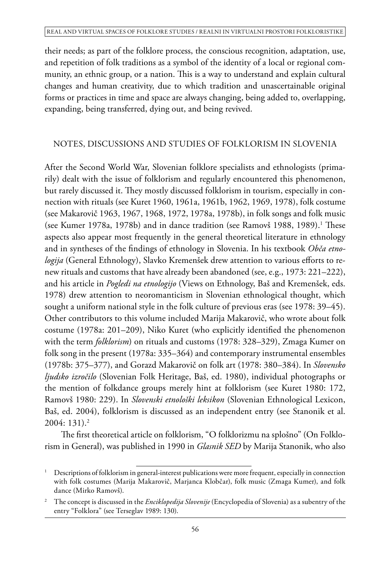their needs; as part of the folklore process, the conscious recognition, adaptation, use, and repetition of folk traditions as a symbol of the identity of a local or regional community, an ethnic group, or a nation. This is a way to understand and explain cultural changes and human creativity, due to which tradition and unascertainable original forms or practices in time and space are always changing, being added to, overlapping, expanding, being transferred, dying out, and being revived.

# NOTES, DISCUSSIONS AND STUDIES OF FOLKLORISM IN SLOVENIA

After the Second World War, Slovenian folklore specialists and ethnologists (primarily) dealt with the issue of folklorism and regularly encountered this phenomenon, but rarely discussed it. They mostly discussed folklorism in tourism, especially in connection with rituals (see Kuret 1960, 1961a, 1961b, 1962, 1969, 1978), folk costume (see Makarovič 1963, 1967, 1968, 1972, 1978a, 1978b), in folk songs and folk music (see Kumer 1978a, 1978b) and in dance tradition (see Ramovš 1988, 1989).<sup>1</sup> These aspects also appear most frequently in the general theoretical literature in ethnology and in syntheses of the findings of ethnology in Slovenia. In his textbook *Obča etnologija* (General Ethnology), Slavko Kremenšek drew attention to various efforts to renew rituals and customs that have already been abandoned (see, e.g., 1973: 221–222), and his article in *Pogledi na etnologijo* (Views on Ethnology, Baš and Kremenšek, eds. 1978) drew attention to neoromanticism in Slovenian ethnological thought, which sought a uniform national style in the folk culture of previous eras (see 1978: 39–45). Other contributors to this volume included Marija Makarovič, who wrote about folk costume (1978a: 201–209), Niko Kuret (who explicitly identified the phenomenon with the term *folklorism*) on rituals and customs (1978: 328–329), Zmaga Kumer on folk song in the present (1978a: 335–364) and contemporary instrumental ensembles (1978b: 375–377), and Gorazd Makarovič on folk art (1978: 380–384). In *Slovensko ljudsko izročilo* (Slovenian Folk Heritage, Baš, ed. 1980), individual photographs or the mention of folkdance groups merely hint at folklorism (see Kuret 1980: 172, Ramovš 1980: 229). In *Slovenski etnološki leksikon* (Slovenian Ethnological Lexicon, Baš, ed. 2004), folklorism is discussed as an independent entry (see Stanonik et al.  $2004:131.2$ 

The first theoretical article on folklorism, "O folklorizmu na splošno" (On Folklorism in General), was published in 1990 in *Glasnik SED* by Marija Stanonik, who also

<sup>&</sup>lt;sup>1</sup> Descriptions of folklorism in general-interest publications were more frequent, especially in connection with folk costumes (Marija Makarovič, Marjanca Klobčar), folk music (Zmaga Kumer), and folk dance (Mirko Ramovš).

<sup>2</sup> The concept is discussed in the *Enciklopedija Slovenije* (Encyclopedia of Slovenia) as a subentry of the entry "Folklora" (see Terseglav 1989: 130).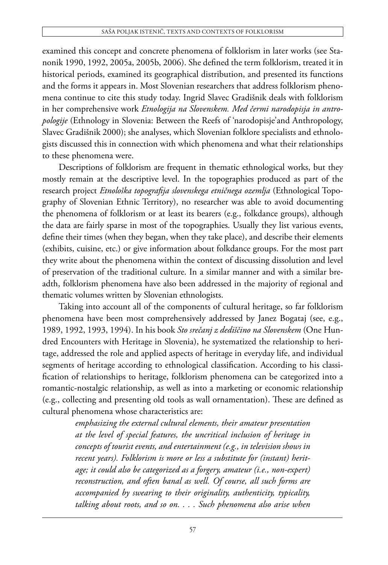examined this concept and concrete phenomena of folklorism in later works (see Stanonik 1990, 1992, 2005a, 2005b, 2006). She defined the term folklorism, treated it in historical periods, examined its geographical distribution, and presented its functions and the forms it appears in. Most Slovenian researchers that address folklorism phenomena continue to cite this study today. Ingrid Slavec Gradišnik deals with folklorism in her comprehensive work *Etnologija na Slovenskem. Med čermi narodopisja in antropologije* (Ethnology in Slovenia: Between the Reefs of 'narodopisje'and Anthropology, Slavec Gradišnik 2000); she analyses, which Slovenian folklore specialists and ethnologists discussed this in connection with which phenomena and what their relationships to these phenomena were.

Descriptions of folklorism are frequent in thematic ethnological works, but they mostly remain at the descriptive level. In the topographies produced as part of the research project *Etnološka topografija slovenskega etničnega ozemlja* (Ethnological Topography of Slovenian Ethnic Territory), no researcher was able to avoid documenting the phenomena of folklorism or at least its bearers (e.g., folkdance groups), although the data are fairly sparse in most of the topographies. Usually they list various events, define their times (when they began, when they take place), and describe their elements (exhibits, cuisine, etc.) or give information about folkdance groups. For the most part they write about the phenomena within the context of discussing dissolution and level of preservation of the traditional culture. In a similar manner and with a similar breadth, folklorism phenomena have also been addressed in the majority of regional and thematic volumes written by Slovenian ethnologists.

Taking into account all of the components of cultural heritage, so far folklorism phenomena have been most comprehensively addressed by Janez Bogataj (see, e.g., 1989, 1992, 1993, 1994). In his book *Sto srečanj z dediščino na Slovenskem* (One Hundred Encounters with Heritage in Slovenia), he systematized the relationship to heritage, addressed the role and applied aspects of heritage in everyday life, and individual segments of heritage according to ethnological classification. According to his classification of relationships to heritage, folklorism phenomena can be categorized into a romantic-nostalgic relationship, as well as into a marketing or economic relationship (e.g., collecting and presenting old tools as wall ornamentation). These are defined as cultural phenomena whose characteristics are:

> *emphasizing the external cultural elements, their amateur presentation at the level of special features, the uncritical inclusion of heritage in concepts of tourist events, and entertainment (e.g., in television shows in recent years). Folklorism is more or less a substitute for (instant) heritage; it could also be categorized as a forgery, amateur (i.e., non-expert) reconstruction, and often banal as well. Of course, all such forms are accompanied by swearing to their originality, authenticity, typicality, talking about roots, and so on. . . . Such phenomena also arise when*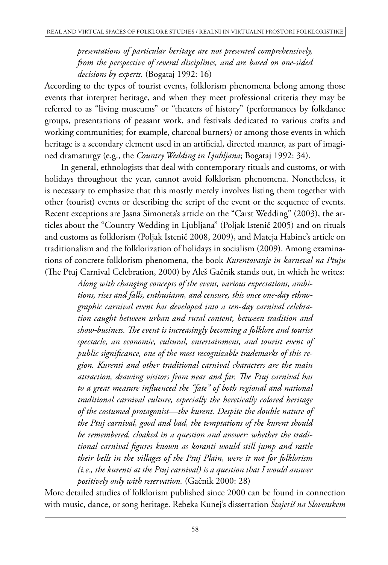*presentations of particular heritage are not presented comprehensively, from the perspective of several disciplines, and are based on one-sided decisions by experts.* (Bogataj 1992: 16)

According to the types of tourist events, folklorism phenomena belong among those events that interpret heritage, and when they meet professional criteria they may be referred to as "living museums" or "theaters of history" (performances by folkdance groups, presentations of peasant work, and festivals dedicated to various crafts and working communities; for example, charcoal burners) or among those events in which heritage is a secondary element used in an artificial, directed manner, as part of imagined dramaturgy (e.g., the *Country Wedding in Ljubljana*; Bogataj 1992: 34).

In general, ethnologists that deal with contemporary rituals and customs, or with holidays throughout the year, cannot avoid folklorism phenomena. Nonetheless, it is necessary to emphasize that this mostly merely involves listing them together with other (tourist) events or describing the script of the event or the sequence of events. Recent exceptions are Jasna Simoneta's article on the "Carst Wedding" (2003), the articles about the "Country Wedding in Ljubljana" (Poljak Istenič 2005) and on rituals and customs as folklorism (Poljak Istenič 2008, 2009), and Mateja Habinc's article on traditionalism and the folklorization of holidays in socialism (2009). Among examinations of concrete folklorism phenomena, the book *Kurentovanje in karneval na Ptuju* (The Ptuj Carnival Celebration, 2000) by Aleš Gačnik stands out, in which he writes:

> *Along with changing concepts of the event, various expectations, ambitions, rises and falls, enthusiasm, and censure, this once one-day ethnographic carnival event has developed into a ten-day carnival celebration caught between urban and rural content, between tradition and show-business. The event is increasingly becoming a folklore and tourist spectacle, an economic, cultural, entertainment, and tourist event of public significance, one of the most recognizable trademarks of this region. Kurenti and other traditional carnival characters are the main attraction, drawing visitors from near and far. The Ptuj carnival has to a great measure influenced the "fate" of both regional and national traditional carnival culture, especially the heretically colored heritage of the costumed protagonist—the kurent. Despite the double nature of the Ptuj carnival, good and bad, the temptations of the kurent should be remembered, cloaked in a question and answer: whether the traditional carnival figures known as koranti would still jump and rattle their bells in the villages of the Ptuj Plain, were it not for folklorism (i.e., the kurenti at the Ptuj carnival) is a question that I would answer positively only with reservation.* (Gačnik 2000: 28)

More detailed studies of folklorism published since 2000 can be found in connection with music, dance, or song heritage. Rebeka Kunej's dissertation *Štajeriš na Slovenskem*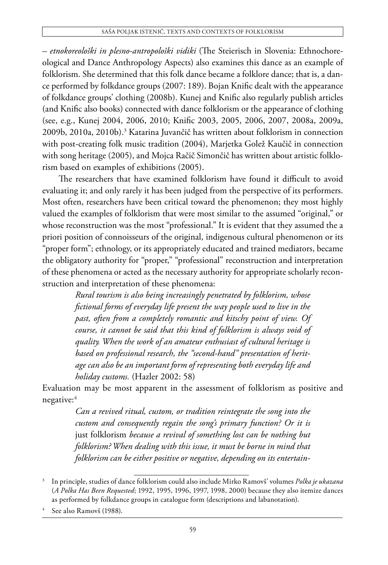#### Saša Poljak Istenič, Texts and Contexts of Folklorism

*– etnokoreološki in plesno-antropološki vidiki* (The Steierisch in Slovenia: Ethnochoreological and Dance Anthropology Aspects) also examines this dance as an example of folklorism. She determined that this folk dance became a folklore dance; that is, a dance performed by folkdance groups (2007: 189). Bojan Knific dealt with the appearance of folkdance groups' clothing (2008b). Kunej and Knific also regularly publish articles (and Knific also books) connected with dance folklorism or the appearance of clothing (see, e.g., Kunej 2004, 2006, 2010; Knific 2003, 2005, 2006, 2007, 2008a, 2009a, 2009b, 2010a, 2010b).3 Katarina Juvančič has written about folklorism in connection with post-creating folk music tradition (2004), Marjetka Golež Kaučič in connection with song heritage (2005), and Mojca Račič Simončič has written about artistic folklorism based on examples of exhibitions (2005).

The researchers that have examined folklorism have found it difficult to avoid evaluating it; and only rarely it has been judged from the perspective of its performers. Most often, researchers have been critical toward the phenomenon; they most highly valued the examples of folklorism that were most similar to the assumed "original," or whose reconstruction was the most "professional." It is evident that they assumed the a priori position of connoisseurs of the original, indigenous cultural phenomenon or its "proper form"; ethnology, or its appropriately educated and trained mediators, became the obligatory authority for "proper," "professional" reconstruction and interpretation of these phenomena or acted as the necessary authority for appropriate scholarly reconstruction and interpretation of these phenomena:

> *Rural tourism is also being increasingly penetrated by folklorism, whose fictional forms of everyday life present the way people used to live in the past, often from a completely romantic and kitschy point of view. Of course, it cannot be said that this kind of folklorism is always void of quality. When the work of an amateur enthusiast of cultural heritage is based on professional research, the "second-hand" presentation of heritage can also be an important form of representing both everyday life and holiday customs.* (Hazler 2002: 58)

Evaluation may be most apparent in the assessment of folklorism as positive and negative:4

> *Can a revived ritual, custom, or tradition reintegrate the song into the custom and consequently regain the song's primary function? Or it is*  just folklorism *because a revival of something lost can be nothing but folklorism? When dealing with this issue, it must be borne in mind that folklorism can be either positive or negative, depending on its entertain-*

<sup>3</sup> In principle, studies of dance folklorism could also include Mirko Ramovš' volumes *Polka je ukazana* (*A Polka Has Been Requested*; 1992, 1995, 1996, 1997, 1998, 2000) because they also itemize dances as performed by folkdance groups in catalogue form (descriptions and labanotation).

See also Ramovš (1988).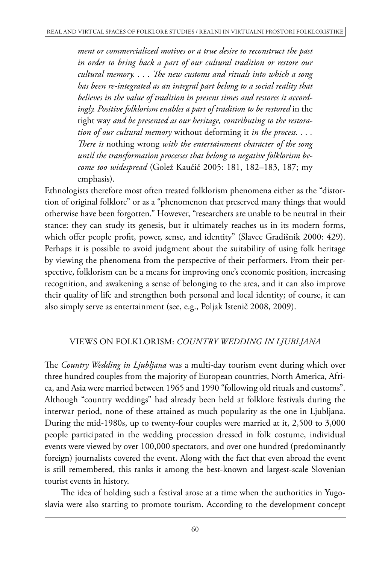*ment or commercialized motives or a true desire to reconstruct the past in order to bring back a part of our cultural tradition or restore our cultural memory. . . . The new customs and rituals into which a song has been re-integrated as an integral part belong to a social reality that believes in the value of tradition in present times and restores it accord*ingly. Positive folklorism enables a part of tradition to be restored in the right way *and be presented as our heritage, contributing to the restoration of our cultural memory* without deforming it *in the process. . . . There is* nothing wrong *with the entertainment character of the song until the transformation processes that belong to negative folklorism become too widespread* (Golež Kaučič 2005: 181, 182–183, 187; my emphasis).

Ethnologists therefore most often treated folklorism phenomena either as the "distortion of original folklore" or as a "phenomenon that preserved many things that would otherwise have been forgotten." However, "researchers are unable to be neutral in their stance: they can study its genesis, but it ultimately reaches us in its modern forms, which offer people profit, power, sense, and identity" (Slavec Gradišnik 2000: 429). Perhaps it is possible to avoid judgment about the suitability of using folk heritage by viewing the phenomena from the perspective of their performers. From their perspective, folklorism can be a means for improving one's economic position, increasing recognition, and awakening a sense of belonging to the area, and it can also improve their quality of life and strengthen both personal and local identity; of course, it can also simply serve as entertainment (see, e.g., Poljak Istenič 2008, 2009).

# VIEWS ON FOLKLORISM: *COUNTRY WEDDING IN LJUBLJANA*

The *Country Wedding in Ljubljana* was a multi-day tourism event during which over three hundred couples from the majority of European countries, North America, Africa, and Asia were married between 1965 and 1990 "following old rituals and customs". Although "country weddings" had already been held at folklore festivals during the interwar period, none of these attained as much popularity as the one in Ljubljana. During the mid-1980s, up to twenty-four couples were married at it, 2,500 to 3,000 people participated in the wedding procession dressed in folk costume, individual events were viewed by over 100,000 spectators, and over one hundred (predominantly foreign) journalists covered the event. Along with the fact that even abroad the event is still remembered, this ranks it among the best-known and largest-scale Slovenian tourist events in history.

The idea of holding such a festival arose at a time when the authorities in Yugoslavia were also starting to promote tourism. According to the development concept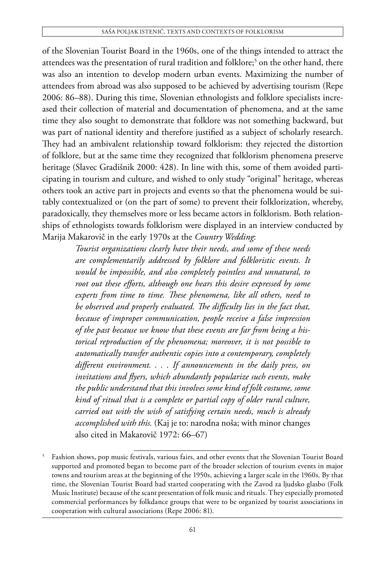of the Slovenian Tourist Board in the 1960s, one of the things intended to attract the attendees was the presentation of rural tradition and folklore;5 on the other hand, there was also an intention to develop modern urban events. Maximizing the number of attendees from abroad was also supposed to be achieved by advertising tourism (Repe 2006: 86–88). During this time, Slovenian ethnologists and folklore specialists increased their collection of material and documentation of phenomena, and at the same time they also sought to demonstrate that folklore was not something backward, but was part of national identity and therefore justified as a subject of scholarly research. They had an ambivalent relationship toward folklorism: they rejected the distortion of folklore, but at the same time they recognized that folklorism phenomena preserve heritage (Slavec Gradišnik 2000: 428). In line with this, some of them avoided participating in tourism and culture, and wished to only study "original" heritage, whereas others took an active part in projects and events so that the phenomena would be suitably contextualized or (on the part of some) to prevent their folklorization, whereby, paradoxically, they themselves more or less became actors in folklorism. Both relationships of ethnologists towards folklorism were displayed in an interview conducted by Marija Makarovič in the early 1970s at the *Country Wedding*:

> *Tourist organizations clearly have their needs, and some of these needs are complementarily addressed by folklore and folkloristic events. It would be impossible, and also completely pointless and unnatural, to root out these efforts, although one hears this desire expressed by some experts from time to time. These phenomena, like all others, need to be observed and properly evaluated. The difficulty lies in the fact that, because of improper communication, people receive a false impression of the past because we know that these events are far from being a historical reproduction of the phenomena; moreover, it is not possible to automatically transfer authentic copies into a contemporary, completely different environment. . . . If announcements in the daily press, on invitations and flyers, which abundantly popularize such events, make the public understand that this involves some kind of folk costume, some kind of ritual that is a complete or partial copy of older rural culture, carried out with the wish of satisfying certain needs, much is already accomplished with this.* (Kaj je to: narodna noša; with minor changes also cited in Makarovič 1972: 66–67)

<sup>5</sup> Fashion shows, pop music festivals, various fairs, and other events that the Slovenian Tourist Board supported and promoted began to become part of the broader selection of tourism events in major towns and tourism areas at the beginning of the 1950s, achieving a larger scale in the 1960s. By that time, the Slovenian Tourist Board had started cooperating with the Zavod za ljudsko glasbo (Folk Music Institute) because of the scant presentation of folk music and rituals. They especially promoted commercial performances by folkdance groups that were to be organized by tourist associations in cooperation with cultural associations (Repe 2006: 81).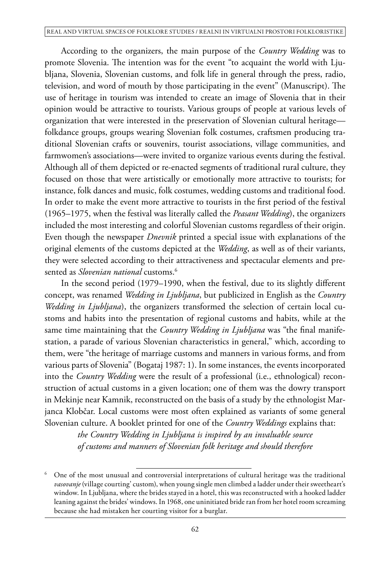According to the organizers, the main purpose of the *Country Wedding* was to promote Slovenia. The intention was for the event "to acquaint the world with Ljubljana, Slovenia, Slovenian customs, and folk life in general through the press, radio, television, and word of mouth by those participating in the event" (Manuscript). The use of heritage in tourism was intended to create an image of Slovenia that in their opinion would be attractive to tourists. Various groups of people at various levels of organization that were interested in the preservation of Slovenian cultural heritage folkdance groups, groups wearing Slovenian folk costumes, craftsmen producing traditional Slovenian crafts or souvenirs, tourist associations, village communities, and farmwomen's associations—were invited to organize various events during the festival. Although all of them depicted or re-enacted segments of traditional rural culture, they focused on those that were artistically or emotionally more attractive to tourists; for instance, folk dances and music, folk costumes, wedding customs and traditional food. In order to make the event more attractive to tourists in the first period of the festival (1965–1975, when the festival was literally called the *Peasant Wedding*), the organizers included the most interesting and colorful Slovenian customs regardless of their origin. Even though the newspaper *Dnevnik* printed a special issue with explanations of the original elements of the customs depicted at the *Wedding*, as well as of their variants, they were selected according to their attractiveness and spectacular elements and presented as *Slovenian national* customs.6

In the second period (1979–1990, when the festival, due to its slightly different concept, was renamed *Wedding in Ljubljana*, but publicized in English as the *Country Wedding in Ljubljana*), the organizers transformed the selection of certain local customs and habits into the presentation of regional customs and habits, while at the same time maintaining that the *Country Wedding in Ljubljana* was "the final manifestation, a parade of various Slovenian characteristics in general," which, according to them, were "the heritage of marriage customs and manners in various forms, and from various parts of Slovenia" (Bogataj 1987: 1). In some instances, the events incorporated into the *Country Wedding* were the result of a professional (i.e., ethnological) reconstruction of actual customs in a given location; one of them was the dowry transport in Mekinje near Kamnik, reconstructed on the basis of a study by the ethnologist Marjanca Klobčar. Local customs were most often explained as variants of some general Slovenian culture. A booklet printed for one of the *Country Weddings* explains that:

> *the Country Wedding in Ljubljana is inspired by an invaluable source of customs and manners of Slovenian folk heritage and should therefore*

<sup>6</sup> One of the most unusual and controversial interpretations of cultural heritage was the traditional *vasovanje* (village courting' custom), when young single men climbed a ladder under their sweetheart's window. In Ljubljana, where the brides stayed in a hotel, this was reconstructed with a hooked ladder leaning against the brides' windows. In 1968, one uninitiated bride ran from her hotel room screaming because she had mistaken her courting visitor for a burglar.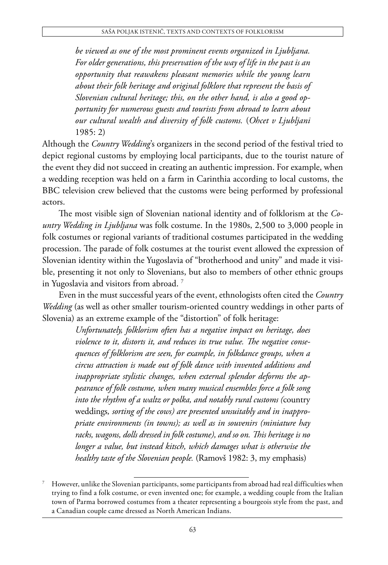*be viewed as one of the most prominent events organized in Ljubljana. For older generations, this preservation of the way of life in the past is an opportunity that reawakens pleasant memories while the young learn about their folk heritage and original folklore that represent the basis of Slovenian cultural heritage; this, on the other hand, is also a good opportunity for numerous guests and tourists from abroad to learn about our cultural wealth and diversity of folk customs.* (*Ohcet v Ljubljani* 1985: 2)

Although the *Country Wedding*'s organizers in the second period of the festival tried to depict regional customs by employing local participants, due to the tourist nature of the event they did not succeed in creating an authentic impression. For example, when a wedding reception was held on a farm in Carinthia according to local customs, the BBC television crew believed that the customs were being performed by professional actors.

The most visible sign of Slovenian national identity and of folklorism at the *Country Wedding in Ljubljana* was folk costume. In the 1980s, 2,500 to 3,000 people in folk costumes or regional variants of traditional costumes participated in the wedding procession. The parade of folk costumes at the tourist event allowed the expression of Slovenian identity within the Yugoslavia of "brotherhood and unity" and made it visible, presenting it not only to Slovenians, but also to members of other ethnic groups in Yugoslavia and visitors from abroad. 7

Even in the must successful years of the event, ethnologists often cited the *Country Wedding* (as well as other smaller tourism-oriented country weddings in other parts of Slovenia) as an extreme example of the "distortion" of folk heritage:

> *Unfortunately, folklorism often has a negative impact on heritage, does violence to it, distorts it, and reduces its true value. The negative consequences of folklorism are seen, for example, in folkdance groups, when a circus attraction is made out of folk dance with invented additions and inappropriate stylistic changes, when external splendor deforms the appearance of folk costume, when many musical ensembles force a folk song into the rhythm of a waltz or polka, and notably rural customs (*country weddings*, sorting of the cows) are presented unsuitably and in inappropriate environments (in towns); as well as in souvenirs (miniature hay racks, wagons, dolls dressed in folk costume), and so on. This heritage is no longer a value, but instead kitsch, which damages what is otherwise the healthy taste of the Slovenian people.* (Ramovš 1982: 3, my emphasis)

<sup>7</sup> However, unlike the Slovenian participants, some participants from abroad had real difficulties when trying to find a folk costume, or even invented one; for example, a wedding couple from the Italian town of Parma borrowed costumes from a theater representing a bourgeois style from the past, and a Canadian couple came dressed as North American Indians.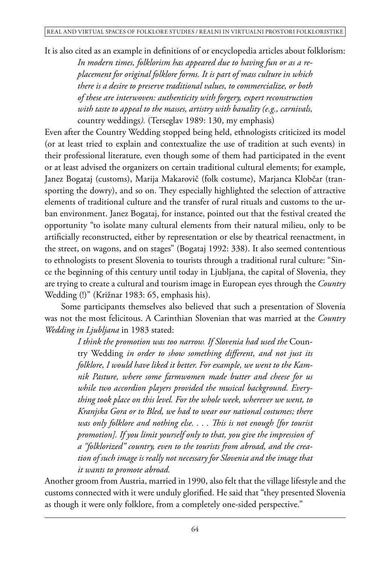It is also cited as an example in definitions of or encyclopedia articles about folklorism:

*In modern times, folklorism has appeared due to having fun or as a replacement for original folklore forms. It is part of mass culture in which there is a desire to preserve traditional values, to commercialize, or both of these are interwoven: authenticity with forgery, expert reconstruction with taste to appeal to the masses, artistry with banality (e.g., carnivals,*  country weddings*).* (Terseglav 1989: 130, my emphasis)

Even after the Country Wedding stopped being held, ethnologists criticized its model (or at least tried to explain and contextualize the use of tradition at such events) in their professional literature, even though some of them had participated in the event or at least advised the organizers on certain traditional cultural elements; for example, Janez Bogataj (customs), Marija Makarovič (folk costume), Marjanca Klobčar (transporting the dowry), and so on. They especially highlighted the selection of attractive elements of traditional culture and the transfer of rural rituals and customs to the urban environment. Janez Bogataj, for instance, pointed out that the festival created the opportunity "to isolate many cultural elements from their natural milieu, only to be artificially reconstructed, either by representation or else by theatrical reenactment, in the street, on wagons, and on stages" (Bogataj 1992: 338). It also seemed contentious to ethnologists to present Slovenia to tourists through a traditional rural culture: "Since the beginning of this century until today in Ljubljana, the capital of Slovenia, they are trying to create a cultural and tourism image in European eyes through the *Country* Wedding (!)" (Križnar 1983: 65, emphasis his).

Some participants themselves also believed that such a presentation of Slovenia was not the most felicitous. A Carinthian Slovenian that was married at the *Country Wedding in Ljubljana* in 1983 stated:

> *I think the promotion was too narrow. If Slovenia had used the* Country Wedding *in order to show something different, and not just its folklore, I would have liked it better. For example, we went to the Kamnik Pasture, where some farmwomen made butter and cheese for us while two accordion players provided the musical background. Everything took place on this level. For the whole week, wherever we went, to Kranjska Gora or to Bled, we had to wear our national costumes; there was only folklore and nothing else. . . . This is not enough [for tourist promotion]. If you limit yourself only to that, you give the impression of a "folklorized" country, even to the tourists from abroad, and the creation of such image is really not necessary for Slovenia and the image that it wants to promote abroad.*

Another groom from Austria, married in 1990, also felt that the village lifestyle and the customs connected with it were unduly glorified. He said that "they presented Slovenia as though it were only folklore, from a completely one-sided perspective."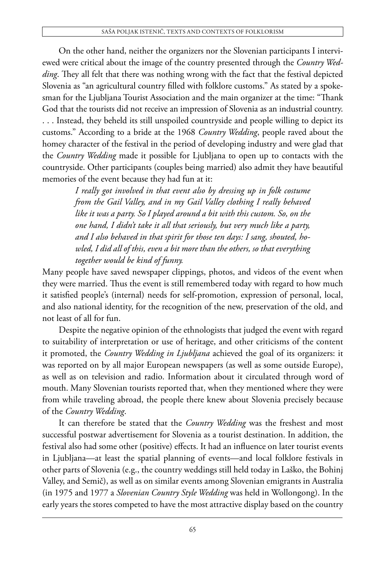On the other hand, neither the organizers nor the Slovenian participants I interviewed were critical about the image of the country presented through the *Country Wedding*. They all felt that there was nothing wrong with the fact that the festival depicted Slovenia as "an agricultural country filled with folklore customs." As stated by a spokesman for the Ljubljana Tourist Association and the main organizer at the time: "Thank God that the tourists did not receive an impression of Slovenia as an industrial country. . . . Instead, they beheld its still unspoiled countryside and people willing to depict its customs." According to a bride at the 1968 *Country Wedding*, people raved about the homey character of the festival in the period of developing industry and were glad that the *Country Wedding* made it possible for Ljubljana to open up to contacts with the countryside. Other participants (couples being married) also admit they have beautiful memories of the event because they had fun at it:

> *I really got involved in that event also by dressing up in folk costume from the Gail Valley, and in my Gail Valley clothing I really behaved like it was a party. So I played around a bit with this custom. So, on the one hand, I didn't take it all that seriously, but very much like a party, and I also behaved in that spirit for those ten days: I sang, shouted, howled, I did all of this, even a bit more than the others, so that everything together would be kind of funny.*

Many people have saved newspaper clippings, photos, and videos of the event when they were married. Thus the event is still remembered today with regard to how much it satisfied people's (internal) needs for self-promotion, expression of personal, local, and also national identity, for the recognition of the new, preservation of the old, and not least of all for fun.

Despite the negative opinion of the ethnologists that judged the event with regard to suitability of interpretation or use of heritage, and other criticisms of the content it promoted, the *Country Wedding in Ljubljana* achieved the goal of its organizers: it was reported on by all major European newspapers (as well as some outside Europe), as well as on television and radio. Information about it circulated through word of mouth. Many Slovenian tourists reported that, when they mentioned where they were from while traveling abroad, the people there knew about Slovenia precisely because of the *Country Wedding*.

It can therefore be stated that the *Country Wedding* was the freshest and most successful postwar advertisement for Slovenia as a tourist destination. In addition, the festival also had some other (positive) effects. It had an influence on later tourist events in Ljubljana—at least the spatial planning of events—and local folklore festivals in other parts of Slovenia (e.g., the country weddings still held today in Laško, the Bohinj Valley, and Semič), as well as on similar events among Slovenian emigrants in Australia (in 1975 and 1977 a *Slovenian Country Style Wedding* was held in Wollongong). In the early years the stores competed to have the most attractive display based on the country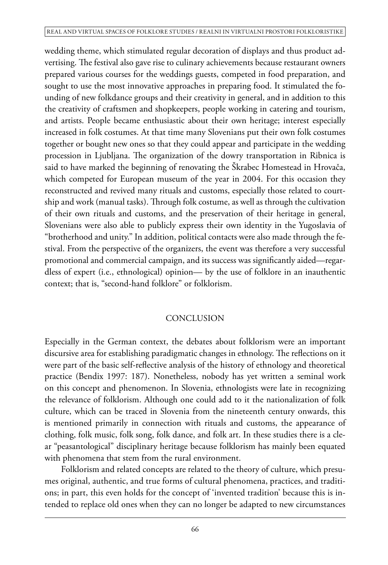wedding theme, which stimulated regular decoration of displays and thus product advertising. The festival also gave rise to culinary achievements because restaurant owners prepared various courses for the weddings guests, competed in food preparation, and sought to use the most innovative approaches in preparing food. It stimulated the founding of new folkdance groups and their creativity in general, and in addition to this the creativity of craftsmen and shopkeepers, people working in catering and tourism, and artists. People became enthusiastic about their own heritage; interest especially increased in folk costumes. At that time many Slovenians put their own folk costumes together or bought new ones so that they could appear and participate in the wedding procession in Ljubljana. The organization of the dowry transportation in Ribnica is said to have marked the beginning of renovating the Škrabec Homestead in Hrovača, which competed for European museum of the year in 2004. For this occasion they reconstructed and revived many rituals and customs, especially those related to courtship and work (manual tasks). Through folk costume, as well as through the cultivation of their own rituals and customs, and the preservation of their heritage in general, Slovenians were also able to publicly express their own identity in the Yugoslavia of "brotherhood and unity." In addition, political contacts were also made through the festival. From the perspective of the organizers, the event was therefore a very successful promotional and commercial campaign, and its success was significantly aided—regardless of expert (i.e., ethnological) opinion— by the use of folklore in an inauthentic context; that is, "second-hand folklore" or folklorism.

# **CONCLUSION**

Especially in the German context, the debates about folklorism were an important discursive area for establishing paradigmatic changes in ethnology. The reflections on it were part of the basic self-reflective analysis of the history of ethnology and theoretical practice (Bendix 1997: 187). Nonetheless, nobody has yet written a seminal work on this concept and phenomenon. In Slovenia, ethnologists were late in recognizing the relevance of folklorism. Although one could add to it the nationalization of folk culture, which can be traced in Slovenia from the nineteenth century onwards, this is mentioned primarily in connection with rituals and customs, the appearance of clothing, folk music, folk song, folk dance, and folk art. In these studies there is a clear "peasantological" disciplinary heritage because folklorism has mainly been equated with phenomena that stem from the rural environment.

Folklorism and related concepts are related to the theory of culture, which presumes original, authentic, and true forms of cultural phenomena, practices, and traditions; in part, this even holds for the concept of 'invented tradition' because this is intended to replace old ones when they can no longer be adapted to new circumstances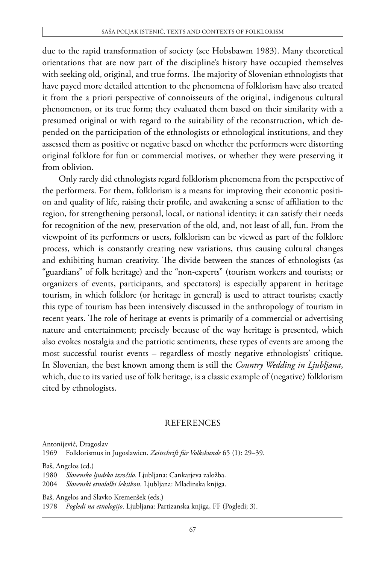due to the rapid transformation of society (see Hobsbawm 1983). Many theoretical orientations that are now part of the discipline's history have occupied themselves with seeking old, original, and true forms. The majority of Slovenian ethnologists that have payed more detailed attention to the phenomena of folklorism have also treated it from the a priori perspective of connoisseurs of the original, indigenous cultural phenomenon, or its true form; they evaluated them based on their similarity with a presumed original or with regard to the suitability of the reconstruction, which depended on the participation of the ethnologists or ethnological institutions, and they assessed them as positive or negative based on whether the performers were distorting original folklore for fun or commercial motives, or whether they were preserving it from oblivion.

Only rarely did ethnologists regard folklorism phenomena from the perspective of the performers. For them, folklorism is a means for improving their economic position and quality of life, raising their profile, and awakening a sense of affiliation to the region, for strengthening personal, local, or national identity; it can satisfy their needs for recognition of the new, preservation of the old, and, not least of all, fun. From the viewpoint of its performers or users, folklorism can be viewed as part of the folklore process, which is constantly creating new variations, thus causing cultural changes and exhibiting human creativity. The divide between the stances of ethnologists (as "guardians" of folk heritage) and the "non-experts" (tourism workers and tourists; or organizers of events, participants, and spectators) is especially apparent in heritage tourism, in which folklore (or heritage in general) is used to attract tourists; exactly this type of tourism has been intensively discussed in the anthropology of tourism in recent years. The role of heritage at events is primarily of a commercial or advertising nature and entertainment; precisely because of the way heritage is presented, which also evokes nostalgia and the patriotic sentiments, these types of events are among the most successful tourist events – regardless of mostly negative ethnologists' critique. In Slovenian, the best known among them is still the *Country Wedding in Ljubljana*, which, due to its varied use of folk heritage, is a classic example of (negative) folklorism cited by ethnologists.

### **REFERENCES**

Antonijević, Dragoslav

1969 Folklorismus in Jugoslawien. *Zeitschrift für Volkskunde* 65 (1): 29–39.

Baš, Angelos (ed.)

1980 *Slovensko ljudsko izročilo.* Ljubljana: Cankarjeva založba.

2004 *Slovenski etnološki leksikon.* Ljubljana: Mladinska knjiga.

Baš, Angelos and Slavko Kremenšek (eds.)

1978 *Pogledi na etnologijo*. Ljubljana: Partizanska knjiga, FF (Pogledi; 3).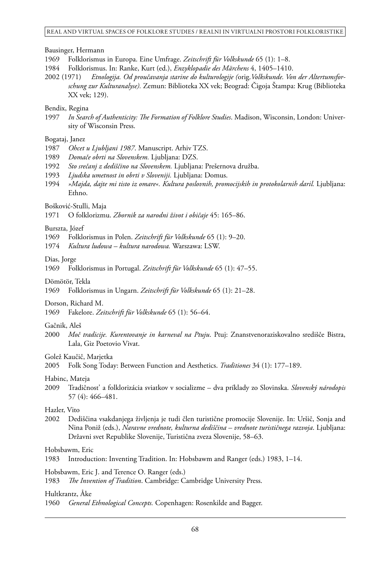#### Bausinger, Hermann

- 1969 Folklorismus in Europa. Eine Umfrage. *Zeitschrift für Volkskunde* 65 (1): 1–8.
- 1984 Folklorismus. In: Ranke, Kurt (ed.), *Enzyklopadie des Märchens* 4, 1405–1410.
- 2002 (1971) *Etnologija. Od proučavanja starine do kulturologije (*orig.*Volkskunde. Von der Altertumsforschung zur Kulturanalyse).* Zemun: Biblioteka XX vek; Beograd: Čigoja Štampa: Krug (Biblioteka XX vek; 129).

#### Bendix, Regina

1997 *In Search of Authenticity: The Formation of Folklore Studies*. Madison, Wisconsin, London: University of Wisconsin Press.

#### Bogataj, Janez

- 1987 *Ohcet u Ljubljani 1987*. Manuscript. Arhiv TZS.
- 1989 *Domače obrti na Slovenskem.* Ljubljana: DZS.
- 1992 *Sto srečanj z dediščino na Slovenskem.* Ljubljana: Prešernova družba.
- 1993 *Ljudska umetnost in obrti v Sloveniji.* Ljubljana: Domus.
- 1994 *»Majda, dajte mi tisto iz omare«. Kultura poslovnih, promocijskih in protokolarnih daril.* Ljubljana: Ethno.

#### Bošković-Stulli, Maja

1971 O folklorizmu. *Zbornik za narodni život i običaje* 45: 165–86.

#### Burszta, Józef

- 1969 Folklorismus in Polen. *Zeitschrift für Volkskunde* 65 (1): 9–20.
- 1974 *Kultura ludowa kultura narodowa.* Warszawa: LSW.

#### Dias, Jorge

1969 Folklorismus in Portugal. *Zeitschrift für Volkskunde* 65 (1): 47–55.

#### Dömötör, Tekla

1969 Folklorismus in Ungarn. *Zeitschrift für Volkskunde* 65 (1): 21–28.

#### Dorson, Richard M.

1969 Fakelore. *Zeitschrift für Volkskunde* 65 (1): 56–64.

#### Gačnik, Aleš

2000 *Moč tradicije. Kurentovanje in karneval na Ptuju*. Ptuj: Znanstvenoraziskovalno središče Bistra, Lala, Giz Poetovio Vivat.

#### Golež Kaučič, Marjetka

2005 Folk Song Today: Between Function and Aesthetics. *Traditiones* 34 (1): 177–189.

#### Habinc, Mateja

2009 Tradičnost' a folklorizácia sviatkov v socializme – dva príklady zo Slovinska. *Slovenský národopis* 57 (4): 466–481.

#### Hazler, Vito

2002 Dediščina vsakdanjega življenja je tudi člen turistične promocije Slovenije. In: Uršič, Sonja and Nina Poniž (eds.), *Naravne vrednote, kulturna dediščina – vrednote turističnega razvoja*. Ljubljana: Državni svet Republike Slovenije, Turistična zveza Slovenije, 58–63.

### Hobsbawm, Eric

1983 Introduction: Inventing Tradition. In: Hobsbawm and Ranger (eds.) 1983, 1–14.

#### Hobsbawm, Eric J. and Terence O. Ranger (eds.)

1983 *The Invention of Tradition*. Cambridge: Cambridge University Press.

#### Hultkrantz, Åke

1960 *General Ethnological Concepts.* Copenhagen: Rosenkilde and Bagger.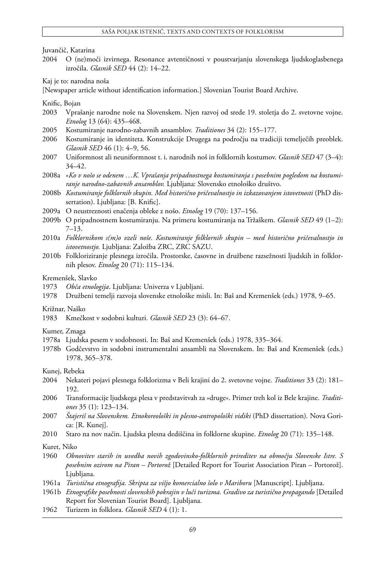Juvančič, Katarina

2004 O (ne)moči izvirnega. Resonance avtentičnosti v poustvarjanju slovenskega ljudskoglasbenega izročila. *Glasnik SED* 44 (2): 14–22.

Kaj je to: narodna noša

[Newspaper article without identification information.] Slovenian Tourist Board Archive.

Knific, Bojan

- 2003 Vprašanje narodne noše na Slovenskem. Njen razvoj od srede 19. stoletja do 2. svetovne vojne. *Etnolog* 13 (64): 435–468.
- 2005 Kostumiranje narodno-zabavnih ansamblov. *Traditiones* 34 (2): 155–177.
- 2006 Kostumiranje in identiteta. Konstrukcije Drugega na področju na tradiciji temelječih preoblek. *Glasnik SED* 46 (1): 4–9, 56.
- 2007 Uniformnost ali neuniformnost t. i. narodnih noš in folklornih kostumov. *Glasnik SED* 47 (3–4): 34–42.
- 2008a »*Ko v nošo se odenem …K. Vprašanja pripadnostnega kostumiranja s posebnim pogledom na kostumiranje narodno-zabavnih ansamblov.* Ljubljana: Slovensko etnološko društvo.
- 2008b *Kostumiranje folklornih skupin. Med historično pričevalnostjo in izkazovanjem istovetnosti* (PhD dissertation). Ljubljana: [B. Knific].
- 2009a O neustreznosti enačenja obleke z nošo. *Etnolog* 19 (70): 137–156.
- 2009b O pripadnostnem kostumiranju. Na primeru kostumiranja na Tržaškem. *Glasnik SED* 49 (1–2): 7–13.
- 2010a *Folklornikom s(m)o vzeli noše. Kostumiranje folklornih skupin med historično pričevalnostjo in istovetnostjo.* Ljubljana: Založba ZRC, ZRC SAZU.
- 2010b Folkloriziranje plesnega izročila. Prostorske, časovne in družbene razsežnosti ljudskih in folklornih plesov. *Etnolog* 20 (71): 115–134.

#### Kremenšek, Slavko

- 1973 *Obča etnologija*. Ljubljana: Univerza v Ljubljani.
- 1978 Družbeni temelji razvoja slovenske etnološke misli. In: Baš and Kremenšek (eds.) 1978, 9–65.

#### Križnar, Naško

1983 Kmečkost v sodobni kulturi. *Glasnik SED* 23 (3): 64–67.

Kumer, Zmaga

- 1978a Ljudska pesem v sodobnosti. In: Baš and Kremenšek (eds.) 1978, 335–364.
- 1978b Godčevstvo in sodobni instrumentalni ansambli na Slovenskem. In: Baš and Kremenšek (eds.) 1978, 365–378.

Kunej, Rebeka

- 2004 Nekateri pojavi plesnega folklorizma v Beli krajini do 2. svetovne vojne. *Traditiones* 33 (2): 181– 192.
- 2006 Transformacije ljudskega plesa v predstavitvah za »druge«. Primer treh kol iz Bele krajine. *Traditiones* 35 (1): 123–134.
- 2007 *Štajeriš na Slovenskem. Etnokoreološki in plesno-antropološki vidiki* (PhD dissertation)*.* Nova Gorica: [R. Kunej].
- 2010 Staro na nov način. Ljudska plesna dediščina in folklorne skupine. *Etnolog* 20 (71): 135–148.

Kuret, Niko

- 1960 *Obnovitev starih in uvedba novih zgodovinsko-folklornih prireditev na območju Slovenske Istre. S posebnim ozirom na Piran – Portorož* [Detailed Report for Tourist Association Piran – Portorož]. Ljubljana.
- 1961a *Turistična etnografija. Skripta za višjo komercialno šolo v Mariboru* [Manuscript]. Ljubljana.
- 1961b *Etnografske posebnosti slovenskih pokrajin v luči turizma. Gradivo za turistično propagando* [Detailed Report for Slovenian Tourist Board]. Ljubljana.
- 1962 Turizem in folklora. *Glasnik SED* 4 (1): 1.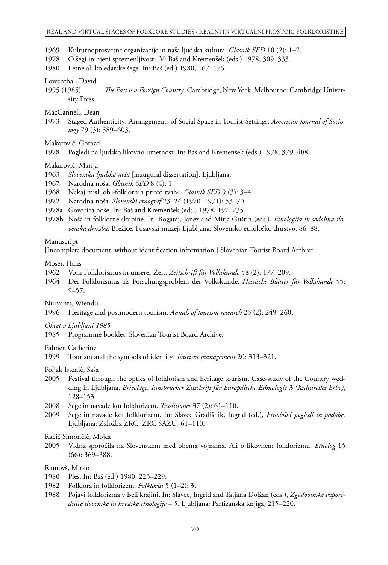#### REAL AND VIRTUAL SPACES OF FOLKLORE STUDIES / REALNI IN VIRTUALNI PROSTORI FOLKLORISTIKE

- 1969 Kulturnoprosvetne organizacije in naša ljudska kultura. *Glasnik SED* 10 (2): 1–2.
- 1978 O šegi in njeni spremenljivosti. V: Baš and Kremenšek (eds.) 1978, 309–333.
- 1980 Letne ali koledarske šege. In: Baš (ed.) 1980, 167–176.
- Lowenthal, David
- 1995 (1985) *The Past is a Foreign Country*. Cambridge, New York, Melbourne: Cambridge University Press.
- MacCannell, Dean
- 1973 Staged Authenticity: Arrangements of Social Space in Tourist Settings. *American Journal of Sociology* 79 (3): 589–603.

Makarovič, Gorazd

1978 Pogledi na ljudsko likovno umetnost. In: Baš and Kremenšek (eds.) 1978, 379–408.

#### Makarovič, Marija

- 1963 *Slovenska ljudska noša* [inaugural dissertation]. Ljubljana.
- 1967 Narodna noša. *Glasnik SED* 8 (4): 1.
- 1968 Nekaj misli ob »folklornih prireditvah«. *Glasnik SED* 9 (3): 3–4.
- 1972 Narodna noša. *Slovenski etnograf* 23–24 (1970–1971): 53–70.
- 1978a Govorica noše. In: Baš and Kremenšek (eds.) 1978, 197–235.
- 1978b Noša in folklorne skupine. In: Bogataj, Janez and Mitja Guštin (eds.), *Etnologija in sodobna slovenska družba*. Brežice: Posavski muzej; Ljubljana: Slovensko etnološko društvo, 86–88.

#### Manuscript

[Incomplete document, without identification information.] Slovenian Tourist Board Archive.

#### Moser, Hans

- 1962 Vom Folklorismus in unserer Zeit. *Zeitschrift für Volkskunde* 58 (2): 177–209.
- 1964 Der Folklorismus als Forschungsproblem der Volkskunde. *Hessische Blätter für Volkskunde* 55: 9–57.

Nuryanti, Wiendu

1996 Heritage and postmodern tourism. *Annals of tourism research* 23 (2): 249–260.

*Ohcet v Ljubljani 1985*

1985 Programme booklet. Slovenian Tourist Board Archive.

Palmer, Catherine

1999 Tourism and the symbols of identity. *Tourism management* 20: 313–321.

Poljak Istenič, Saša

- 2005 Festival through the optics of folklorism and heritage tourism. Case-study of the Country wedding in Ljubljana. *Bricolage. Innsbrucker Zitschrift für Europäische Ethnologie* 3 *(Kulturelles Erbe)*, 128–153.
- 2008 Šege in navade kot folklorizem. *Traditiones* 37 (2): 61–110.
- 2009 Šege in navade kot folklorizem. In: Slavec Gradišnik, Ingrid (ed.), *Etnološki pogledi in podobe.* Ljubljana: Založba ZRC, ZRC SAZU, 61–110.

Račič Simončič, Mojca

2005 Vidna sporočila na Slovenskem med obema vojnama. Ali o likovnem folklorizmu. *Etnolog* 15 (66): 369–388.

### Ramovš, Mirko

- 1980 Ples. In: Baš (ed.) 1980, 223–229.
- 1982 Folklora in folklorizem. *Folklorist* 5 (1–2): 3.
- 1988 Pojavi folklorizma v Beli krajini. In: Slavec, Ingrid and Tatjana Dolžan (eds.), *Zgodovinske vzporednice slovenske in hrvaške etnologije – 5.* Ljubljana: Partizanska knjiga, 215–220.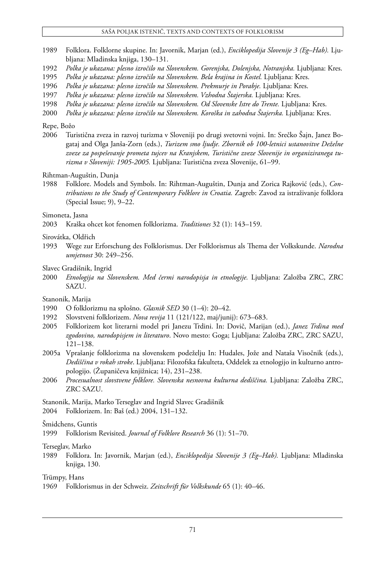#### Saša Poljak Istenič, Texts and Contexts of Folklorism

- 1989 Folklora. Folklorne skupine. In: Javornik, Marjan (ed.), *Enciklopedija Slovenije 3 (Eg–Hab).* Ljubljana: Mladinska knjiga, 130–131.
- 1992 *Polka je ukazana: plesno izročilo na Slovenskem. Gorenjska, Dolenjska, Notranjska.* Ljubljana: Kres.
- 1995 *Polka je ukazana: plesno izročilo na Slovenskem. Bela krajina in Kostel.* Ljubljana: Kres.
- 1996  *Polka je ukazana: plesno izročilo na Slovenskem. Prekmurje in Porabje.* Ljubljana: Kres.<br>1997 *Polka je ukazana: plesno izročilo na Slovenskem. Vzbodna Štajerska.* Ljubljana: Kres.
- 1997 *Polka je ukazana: plesno izročilo na Slovenskem. Vzhodna Štajerska.* Ljubljana: Kres.
- 1998 *Polka je ukazana: plesno izročilo na Slovenskem. Od Slovenske Istre do Trente. Ljubljana: Kres.*
- 2000 *Polka je ukazana: plesno izročilo na Slovenskem. Koroška in zahodna Štajerska.* Ljubljana: Kres.

### Repe, Božo

2006 Turistična zveza in razvoj turizma v Sloveniji po drugi svetovni vojni. In: Srečko Šajn, Janez Bogataj and Olga Janša-Zorn (eds.), *Turizem smo ljudje. Zbornik ob 100-letnici ustanovitve Deželne zveze za pospeševanje prometa tujcev na Kranjskem, Turistične zveze Slovenije in organiziranega turizma v Sloveniji: 1905-2005.* Ljubljana: Turistična zveza Slovenije, 61–99.

Rihtman-Auguštin, Dunja

1988 Folklore. Models and Symbols. In: Rihtman-Auguštin, Dunja and Zorica Rajković (eds.), *Contributions to the Study of Contemporary Folklore in Croatia.* Zagreb: Zavod za istraživanje folklora (Special Issue; 9), 9–22.

#### Simoneta, Jasna

2003 Kraška ohcet kot fenomen folklorizma. *Traditiones* 32 (1): 143–159.

Sirovátka, Oldřich

1993 Wege zur Erforschung des Folklorismus. Der Folklorismus als Thema der Volkskunde. *Narodna umjetnost* 30: 249–256.

### Slavec Gradišnik, Ingrid

2000 *Etnologija na Slovenskem. Med čermi narodopisja in etnologije.* Ljubljana: Založba ZRC, ZRC SAZU.

Stanonik, Marija

- 1990 O folklorizmu na splošno. *Glasnik SED* 30 (1–4): 20–42.
- 1992 Slovstveni folklorizem. *Nova revija* 11 (121/122, maj/junij): 673–683.
- 2005 Folklorizem kot literarni model pri Janezu Trdini. In: Dovič, Marijan (ed.), *Janez Trdina med zgodovino, narodopisjem in literaturo*. Novo mesto: Goga; Ljubljana: Založba ZRC, ZRC SAZU, 121–138.
- 2005a Vprašanje folklorizma na slovenskem podeželju In: Hudales, Jože and Nataša Visočnik (eds.), *Dediščina v rokah stroke*. Ljubljana: Filozofska fakulteta, Oddelek za etnologijo in kulturno antropologijo. (Županičeva knjižnica; 14), 231–238.
- 2006 *Procesualnost slovstvene folklore. Slovenska nesnovna kulturna dediščina.* Ljubljana: Založba ZRC, ZRC SAZU.

Stanonik, Marija, Marko Terseglav and Ingrid Slavec Gradišnik

2004 Folklorizem. In: Baš (ed.) 2004, 131–132.

Šmidchens, Guntis

1999 Folklorism Revisited. *Journal of Folklore Research* 36 (1): 51–70.

Terseglav, Marko

1989 Folklora. In: Javornik, Marjan (ed.), *Enciklopedija Slovenije 3 (Eg–Hab).* Ljubljana: Mladinska knjiga, 130.

Trümpy, Hans

<sup>1969</sup> Folklorismus in der Schweiz. *Zeitschrift für Volkskunde* 65 (1): 40–46.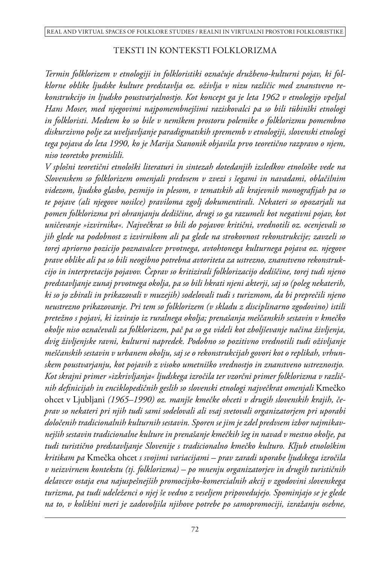### TEKSTI IN KONTEKSTI FOLKLORIZMA

*Termin folklorizem v etnologiji in folkloristiki označuje družbeno-kulturni pojav, ki folklorne oblike ljudske kulture predstavlja oz. oživlja v nizu različic med znanstveno rekonstrukcijo in ljudsko poustvarjalnostjo. Kot koncept ga je leta 1962 v etnologijo vpeljal Hans Moser, med njegovimi najpomembnejšimi raziskovalci pa so bili tübinški etnologi in folkloristi. Medtem ko so bile v nemškem prostoru polemike o folklorizmu pomembno diskurzivno polje za uveljavljanje paradigmatskih sprememb v etnologiji, slovenski etnologi tega pojava do leta 1990, ko je Marija Stanonik objavila prvo teoretično razpravo o njem, niso teoretsko premislili.* 

*V splošni teoretični etnološki literaturi in sintezah dotedanjih izsledkov etnološke vede na Slovenskem so folklorizem omenjali predvsem v zvezi s šegami in navadami, oblačilnim videzom, ljudsko glasbo, pesmijo in plesom, v tematskih ali krajevnih monografijah pa so te pojave (ali njegove nosilce) praviloma zgolj dokumentirali. Nekateri so opozarjali na pomen folklorizma pri ohranjanju dediščine, drugi so ga razumeli kot negativni pojav, kot uničevanje »izvirnika«. Največkrat so bili do pojavov kritični, vrednotili oz. ocenjevali so jih glede na podobnost z izvirnikom ali pa glede na strokovnost rekonstrukcije; zavzeli so torej apriorno pozicijo poznavalcev prvotnega, avtohtonega kulturnega pojava oz. njegove prave oblike ali pa so bili neogibno potrebna avtoriteta za ustrezno, znanstveno rekonstrukcijo in interpretacijo pojavov. Čeprav so kritizirali folklorizacijo dediščine, torej tudi njeno predstavljanje zunaj prvotnega okolja, pa so bili hkrati njeni akterji, saj so (poleg nekaterih, ki so jo zbirali in prikazovali v muzejih) sodelovali tudi s turizmom, da bi preprečili njeno neustrezno prikazovanje. Pri tem so folklorizem (v skladu z disciplinarno zgodovino) istili pretežno s pojavi, ki izvirajo iz ruralnega okolja; prenašanja meščanskih sestavin v kmečko okolje niso označevali za folklorizem, pač pa so ga videli kot zboljševanje načina življenja, dvig življenjske ravni, kulturni napredek. Podobno so pozitivno vrednotili tudi oživljanje meščanskih sestavin v urbanem okolju, saj se o rekonstrukcijah govori kot o replikah, vrhunskem poustvarjanju, kot pojavih z visoko umetniško vrednostjo in znanstveno ustreznostjo. Kot skrajni primer »izkrivljanja« ljudskega izročila ter vzorčni primer folklorizma v različnih definicijah in enciklopedičnih geslih so slovenski etnologi največkrat omenjali* Kmečko ohcet v Ljubljani *(1965–1990) oz. manjše kmečke ohceti v drugih slovenskih krajih, čeprav so nekateri pri njih tudi sami sodelovali ali vsaj svetovali organizatorjem pri uporabi določenih tradicionalnih kulturnih sestavin. Sporen se jim je zdel predvsem izbor najmikavnejših sestavin tradicionalne kulture in prenašanje kmečkih šeg in navad v mestno okolje, pa tudi turistično predstavljanje Slovenije s tradicionalno kmečko kulturo. Kljub etnološkim kritikam pa* Kmečka ohcet *s svojimi variacijami – prav zaradi uporabe ljudskega izročila v neizvirnem kontekstu (tj. folklorizma) – po mnenju organizatorjev in drugih turističnih delavcev ostaja ena najuspešnejših promocijsko-komercialnih akcij v zgodovini slovenskega turizma, pa tudi udeleženci o njej še vedno z veseljem pripovedujejo. Spominjajo se je glede na to, v kolikšni meri je zadovoljila njihove potrebe po samopromociji, izražanju osebne,*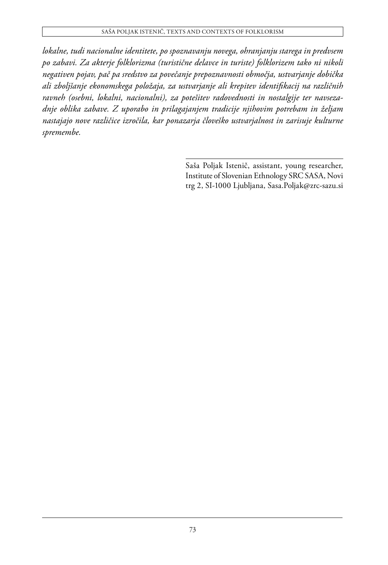*lokalne, tudi nacionalne identitete, po spoznavanju novega, ohranjanju starega in predvsem po zabavi. Za akterje folklorizma (turistične delavce in turiste) folklorizem tako ni nikoli negativen pojav, pač pa sredstvo za povečanje prepoznavnosti območja, ustvarjanje dobička ali zboljšanje ekonomskega položaja, za ustvarjanje ali krepitev identifikacij na različnih ravneh (osebni, lokalni, nacionalni), za potešitev radovednosti in nostalgije ter navsezadnje oblika zabave. Z uporabo in prilagajanjem tradicije njihovim potrebam in željam nastajajo nove različice izročila, kar ponazarja človeško ustvarjalnost in zarisuje kulturne spremembe.*

> Saša Poljak Istenič, assistant, young researcher, Institute of Slovenian Ethnology SRC SASA, Novi trg 2, SI-1000 Ljubljana, Sasa.Poljak@zrc-sazu.si